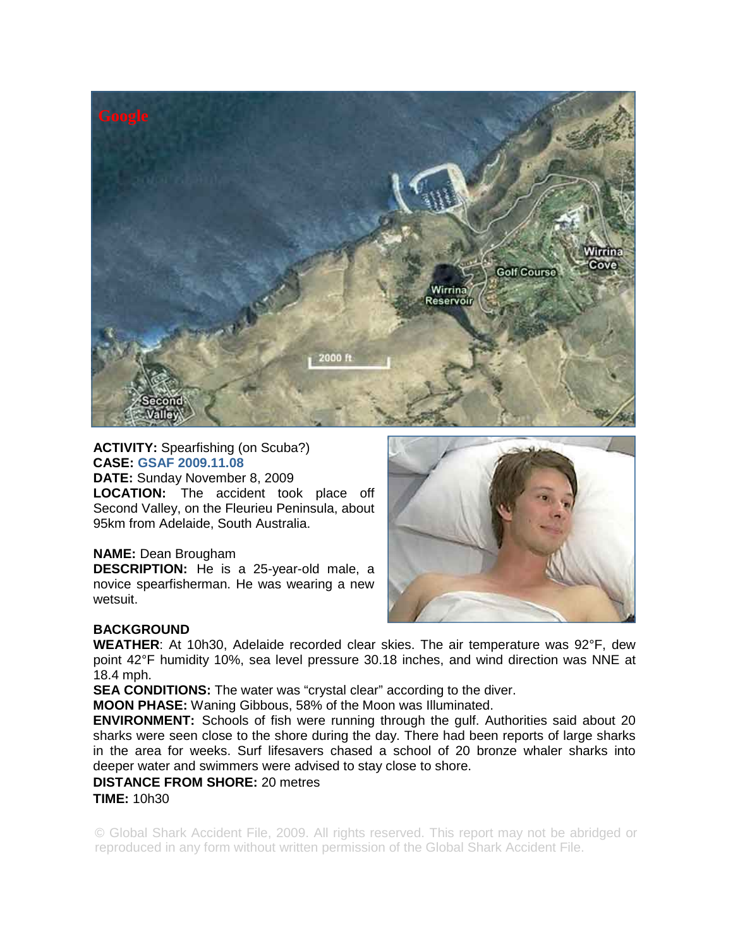

#### **ACTIVITY:** Spearfishing (on Scuba?) **CASE: GSAF 2009.11.08**

**DATE:** Sunday November 8, 2009

**LOCATION:** The accident took place off Second Valley, on the Fleurieu Peninsula, about 95km from Adelaide, South Australia.

# **NAME:** Dean Brougham

**DESCRIPTION:** He is a 25-year-old male, a novice spearfisherman. He was wearing a new wetsuit.



# **BACKGROUND**

**WEATHER**: At 10h30, Adelaide recorded clear skies. The air temperature was 92°F, dew point 42°F humidity 10%, sea level pressure 30.18 inches, and wind direction was NNE at 18.4 mph.

**SEA CONDITIONS:** The water was "crystal clear" according to the diver.

**MOON PHASE:** Waning Gibbous, 58% of the Moon was Illuminated.

**ENVIRONMENT:** Schools of fish were running through the gulf. Authorities said about 20 sharks were seen close to the shore during the day. There had been reports of large sharks in the area for weeks. Surf lifesavers chased a school of 20 bronze whaler sharks into deeper water and swimmers were advised to stay close to shore.

### **DISTANCE FROM SHORE:** 20 metres

#### **TIME:** 10h30

© Global Shark Accident File, 2009. All rights reserved. This report may not be abridged or reproduced in any form without written permission of the Global Shark Accident File.